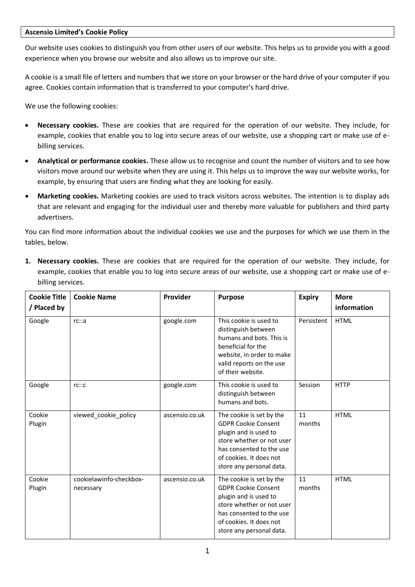## **Ascensio Limited's Cookie Policy**

Our website uses cookies to distinguish you from other users of our website. This helps us to provide you with a good experience when you browse our website and also allows us to improve our site.

A cookie is a small file of letters and numbers that we store on your browser or the hard drive of your computer if you agree. Cookies contain information that is transferred to your computer's hard drive.

We use the following cookies:

- **Necessary cookies.** These are cookies that are required for the operation of our website. They include, for example, cookies that enable you to log into secure areas of our website, use a shopping cart or make use of ebilling services.
- **Analytical or performance cookies.** These allow us to recognise and count the number of visitors and to see how visitors move around our website when they are using it. This helps us to improve the way our website works, for example, by ensuring that users are finding what they are looking for easily.
- **Marketing cookies.** Marketing cookies are used to track visitors across websites. The intention is to display ads that are relevant and engaging for the individual user and thereby more valuable for publishers and third party advertisers.

You can find more information about the individual cookies we use and the purposes for which we use them in the tables, below.

| <b>Cookie Title</b><br>/ Placed by | <b>Cookie Name</b>                   | Provider       | <b>Purpose</b>                                                                                                                                                                                  | <b>Expiry</b> | <b>More</b><br>information |
|------------------------------------|--------------------------------------|----------------|-------------------------------------------------------------------------------------------------------------------------------------------------------------------------------------------------|---------------|----------------------------|
| Google                             | rc::a                                | google.com     | This cookie is used to<br>distinguish between<br>humans and bots. This is<br>beneficial for the<br>website, in order to make<br>valid reports on the use<br>of their website.                   | Persistent    | <b>HTML</b>                |
| Google                             | rc::c                                | google.com     | This cookie is used to<br>distinguish between<br>humans and bots.                                                                                                                               | Session       | <b>HTTP</b>                |
| Cookie<br>Plugin                   | viewed_cookie_policy                 | ascensio.co.uk | The cookie is set by the<br><b>GDPR Cookie Consent</b><br>plugin and is used to<br>store whether or not user<br>has consented to the use<br>of cookies. It does not<br>store any personal data. | 11<br>months  | <b>HTML</b>                |
| Cookie<br>Plugin                   | cookielawinfo-checkbox-<br>necessary | ascensio.co.uk | The cookie is set by the<br><b>GDPR Cookie Consent</b><br>plugin and is used to<br>store whether or not user<br>has consented to the use<br>of cookies. It does not<br>store any personal data. | 11<br>months  | <b>HTML</b>                |

**1. Necessary cookies.** These are cookies that are required for the operation of our website. They include, for example, cookies that enable you to log into secure areas of our website, use a shopping cart or make use of ebilling services.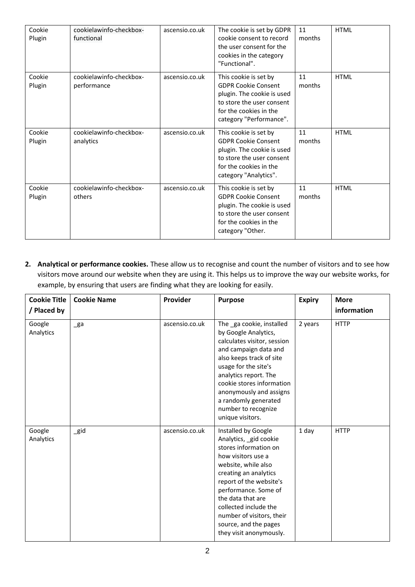| Cookie<br>Plugin | cookielawinfo-checkbox-<br>functional  | ascensio.co.uk | The cookie is set by GDPR<br>cookie consent to record<br>the user consent for the<br>cookies in the category<br>"Functional".                                       | 11<br>months | <b>HTML</b> |
|------------------|----------------------------------------|----------------|---------------------------------------------------------------------------------------------------------------------------------------------------------------------|--------------|-------------|
| Cookie<br>Plugin | cookielawinfo-checkbox-<br>performance | ascensio.co.uk | This cookie is set by<br><b>GDPR Cookie Consent</b><br>plugin. The cookie is used<br>to store the user consent<br>for the cookies in the<br>category "Performance". | 11<br>months | <b>HTML</b> |
| Cookie<br>Plugin | cookielawinfo-checkbox-<br>analytics   | ascensio.co.uk | This cookie is set by<br><b>GDPR Cookie Consent</b><br>plugin. The cookie is used<br>to store the user consent<br>for the cookies in the<br>category "Analytics".   | 11<br>months | <b>HTML</b> |
| Cookie<br>Plugin | cookielawinfo-checkbox-<br>others      | ascensio.co.uk | This cookie is set by<br><b>GDPR Cookie Consent</b><br>plugin. The cookie is used<br>to store the user consent<br>for the cookies in the<br>category "Other.        | 11<br>months | <b>HTML</b> |

**2. Analytical or performance cookies.** These allow us to recognise and count the number of visitors and to see how visitors move around our website when they are using it. This helps us to improve the way our website works, for example, by ensuring that users are finding what they are looking for easily.

| <b>Cookie Title</b><br>/ Placed by | <b>Cookie Name</b> | Provider       | <b>Purpose</b>                                                                                                                                                                                                                                                                                                                | <b>Expiry</b> | <b>More</b><br>information |
|------------------------------------|--------------------|----------------|-------------------------------------------------------------------------------------------------------------------------------------------------------------------------------------------------------------------------------------------------------------------------------------------------------------------------------|---------------|----------------------------|
| Google<br>Analytics                | $\mathsf{g}$ a     | ascensio.co.uk | The ga cookie, installed<br>by Google Analytics,<br>calculates visitor, session<br>and campaign data and<br>also keeps track of site<br>usage for the site's<br>analytics report. The<br>cookie stores information<br>anonymously and assigns<br>a randomly generated<br>number to recognize<br>unique visitors.              | 2 years       | <b>HTTP</b>                |
| Google<br>Analytics                | $\_gid$            | ascensio.co.uk | Installed by Google<br>Analytics, gid cookie<br>stores information on<br>how visitors use a<br>website, while also<br>creating an analytics<br>report of the website's<br>performance. Some of<br>the data that are<br>collected include the<br>number of visitors, their<br>source, and the pages<br>they visit anonymously. | 1 day         | <b>HTTP</b>                |